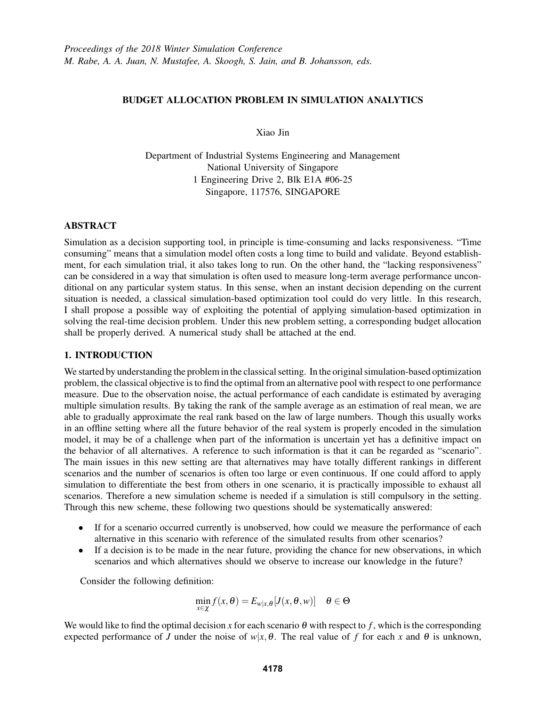## BUDGET ALLOCATION PROBLEM IN SIMULATION ANALYTICS

Xiao Jin

Department of Industrial Systems Engineering and Management National University of Singapore 1 Engineering Drive 2, Blk E1A #06-25 Singapore, 117576, SINGAPORE

## ABSTRACT

Simulation as a decision supporting tool, in principle is time-consuming and lacks responsiveness. "Time consuming" means that a simulation model often costs a long time to build and validate. Beyond establishment, for each simulation trial, it also takes long to run. On the other hand, the "lacking responsiveness" can be considered in a way that simulation is often used to measure long-term average performance unconditional on any particular system status. In this sense, when an instant decision depending on the current situation is needed, a classical simulation-based optimization tool could do very little. In this research, I shall propose a possible way of exploiting the potential of applying simulation-based optimization in solving the real-time decision problem. Under this new problem setting, a corresponding budget allocation shall be properly derived. A numerical study shall be attached at the end.

## 1. INTRODUCTION

We started by understanding the problem in the classical setting. In the original simulation-based optimization problem, the classical objective is to find the optimal from an alternative pool with respect to one performance measure. Due to the observation noise, the actual performance of each candidate is estimated by averaging multiple simulation results. By taking the rank of the sample average as an estimation of real mean, we are able to gradually approximate the real rank based on the law of large numbers. Though this usually works in an offline setting where all the future behavior of the real system is properly encoded in the simulation model, it may be of a challenge when part of the information is uncertain yet has a definitive impact on the behavior of all alternatives. A reference to such information is that it can be regarded as "scenario". The main issues in this new setting are that alternatives may have totally different rankings in different scenarios and the number of scenarios is often too large or even continuous. If one could afford to apply simulation to differentiate the best from others in one scenario, it is practically impossible to exhaust all scenarios. Therefore a new simulation scheme is needed if a simulation is still compulsory in the setting. Through this new scheme, these following two questions should be systematically answered:

- If for a scenario occurred currently is unobserved, how could we measure the performance of each alternative in this scenario with reference of the simulated results from other scenarios?
- If a decision is to be made in the near future, providing the chance for new observations, in which scenarios and which alternatives should we observe to increase our knowledge in the future?

Consider the following definition:

$$
\min_{x\in\chi}f(x,\theta)=E_{w|x,\theta}[J(x,\theta,w)]\quad \theta\in\Theta
$$

We would like to find the optimal decision *x* for each scenario θ with respect to *f* , which is the corresponding expected performance of *J* under the noise of  $w|x, \theta$ . The real value of f for each x and  $\theta$  is unknown,